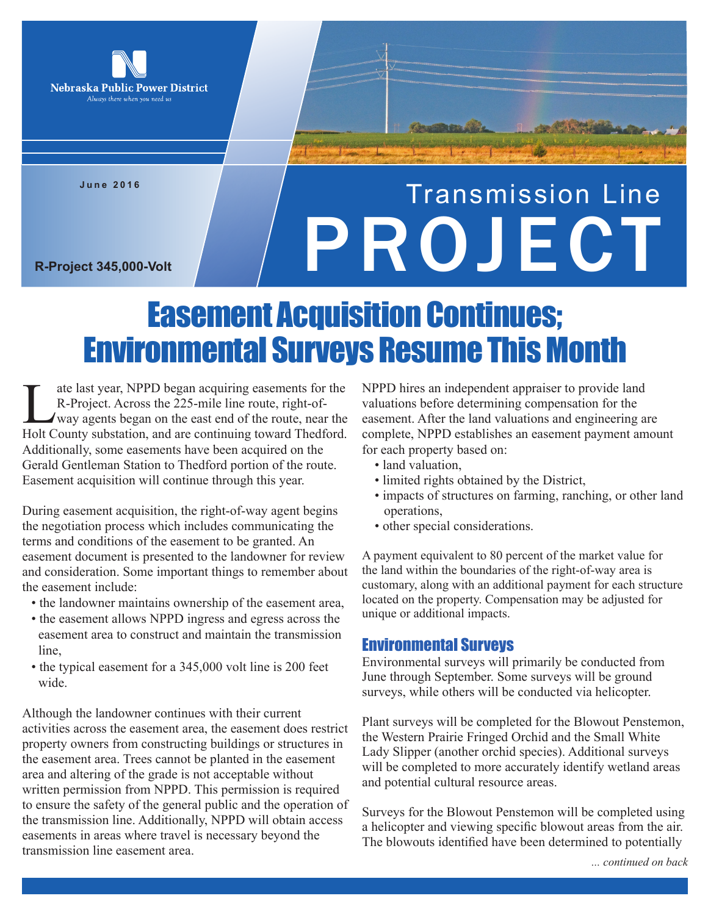

**June 2016**

# Transmission Line R-Project 345,000-Volt

## Easement Acquisition Continues; Environmental Surveys Resume This Month

ate last year, NPPD began acquiring easements for the<br>R-Project. Across the 225-mile line route, right-of-<br>way agents began on the east end of the route, near the<br>Holt County substation, and are continuing toward Thedford R-Project. Across the 225-mile line route, right-ofway agents began on the east end of the route, near the Holt County substation, and are continuing toward Thedford. Additionally, some easements have been acquired on the Gerald Gentleman Station to Thedford portion of the route. Easement acquisition will continue through this year.

During easement acquisition, the right-of-way agent begins the negotiation process which includes communicating the terms and conditions of the easement to be granted. An easement document is presented to the landowner for review and consideration. Some important things to remember about the easement include:

- the landowner maintains ownership of the easement area,
- the easement allows NPPD ingress and egress across the easement area to construct and maintain the transmission line,
- the typical easement for a 345,000 volt line is 200 feet wide

Although the landowner continues with their current activities across the easement area, the easement does restrict property owners from constructing buildings or structures in the easement area. Trees cannot be planted in the easement area and altering of the grade is not acceptable without written permission from NPPD. This permission is required to ensure the safety of the general public and the operation of the transmission line. Additionally, NPPD will obtain access easements in areas where travel is necessary beyond the transmission line easement area.

NPPD hires an independent appraiser to provide land valuations before determining compensation for the easement. After the land valuations and engineering are complete, NPPD establishes an easement payment amount for each property based on:

- land valuation,
- limited rights obtained by the District,
- impacts of structures on farming, ranching, or other land operations,
- other special considerations.

A payment equivalent to 80 percent of the market value for the land within the boundaries of the right-of-way area is customary, along with an additional payment for each structure located on the property. Compensation may be adjusted for unique or additional impacts.

### Environmental Surveys

Environmental surveys will primarily be conducted from June through September. Some surveys will be ground surveys, while others will be conducted via helicopter.

Plant surveys will be completed for the Blowout Penstemon, the Western Prairie Fringed Orchid and the Small White Lady Slipper (another orchid species). Additional surveys will be completed to more accurately identify wetland areas and potential cultural resource areas.

Surveys for the Blowout Penstemon will be completed using a helicopter and viewing specific blowout areas from the air. The blowouts identified have been determined to potentially